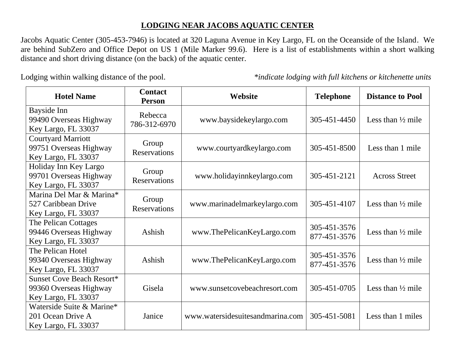## **LODGING NEAR JACOBS AQUATIC CENTER**

Jacobs Aquatic Center (305-453-7946) is located at 320 Laguna Avenue in Key Largo, FL on the Oceanside of the Island. We are behind SubZero and Office Depot on US 1 (Mile Marker 99.6). Here is a list of establishments within a short walking distance and short driving distance (on the back) of the aquatic center.

Lodging within walking distance of the pool. *\*indicate lodging with full kitchens or kitchenette units*

| <b>Hotel Name</b>                                                                 | <b>Contact</b><br><b>Person</b> | Website                          | <b>Telephone</b>             | <b>Distance to Pool</b>      |
|-----------------------------------------------------------------------------------|---------------------------------|----------------------------------|------------------------------|------------------------------|
| Bayside Inn<br>99490 Overseas Highway<br>Key Largo, FL 33037                      | Rebecca<br>786-312-6970         | www.baysidekeylargo.com          | 305-451-4450                 | Less than $\frac{1}{2}$ mile |
| <b>Courtyard Marriott</b><br>99751 Overseas Highway<br>Key Largo, FL 33037        | Group<br><b>Reservations</b>    | www.courtyardkeylargo.com        | 305-451-8500                 | Less than 1 mile             |
| Holiday Inn Key Largo<br>99701 Overseas Highway<br>Key Largo, FL 33037            | Group<br><b>Reservations</b>    | www.holidayinnkeylargo.com       | 305-451-2121                 | <b>Across Street</b>         |
| Marina Del Mar & Marina*<br>527 Caribbean Drive<br>Key Largo, FL 33037            | Group<br><b>Reservations</b>    | www.marinadelmarkeylargo.com     | 305-451-4107                 | Less than $\frac{1}{2}$ mile |
| The Pelican Cottages<br>99446 Overseas Highway<br>Key Largo, FL 33037             | Ashish                          | www.ThePelicanKeyLargo.com       | 305-451-3576<br>877-451-3576 | Less than $\frac{1}{2}$ mile |
| The Pelican Hotel<br>99340 Overseas Highway<br>Key Largo, FL 33037                | Ashish                          | www.ThePelicanKeyLargo.com       | 305-451-3576<br>877-451-3576 | Less than $\frac{1}{2}$ mile |
| <b>Sunset Cove Beach Resort*</b><br>99360 Overseas Highway<br>Key Largo, FL 33037 | Gisela                          | www.sunsetcovebeachresort.com    | 305-451-0705                 | Less than $\frac{1}{2}$ mile |
| Waterside Suite & Marine*<br>201 Ocean Drive A<br>Key Largo, FL 33037             | Janice                          | www.watersidesuitesandmarina.com | 305-451-5081                 | Less than 1 miles            |